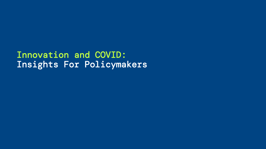Innovation and COVID: Insights For Policymakers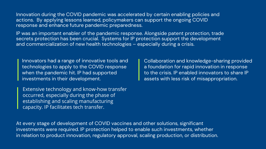Innovation during the COVID pandemic was accelerated by certain enabling policies and actions. By applying lessons learned, policymakers can support the ongoing COVID response and enhance future pandemic preparedness.

IP was an important enabler of the pandemic response. Alongside patent protection, trade secrets protection has been crucial. Systems for IP protection support the development and commercialization of new health technologies – especially during a crisis.

Innovators had a range of innovative tools and technologies to apply to the COVID response when the pandemic hit. IP had supported investments in their development.

Extensive technology and know-how transfer occurred, especially during the phase of establishing and scaling manufacturing capacity. IP facilitates tech transfer.

Collaboration and knowledge-sharing provided a foundation for rapid innovation in response to the crisis. IP enabled innovators to share IP assets with less risk of misappropriation.

At every stage of development of COVID vaccines and other solutions, significant investments were required. IP protection helped to enable such investments, whether in relation to product innovation, regulatory approval, scaling production, or distribution.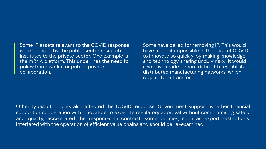## Some IP assets relevant to the COVID response were licensed by the public sector research institutes to the private sector. One example is the mRNA platform. This underlines the need for policy frameworks for public-private collaboration.

Some have called for removing IP. This would have made it impossible in the case of COVID to innovate so quickly, by making knowledge and technology sharing unduly risky. It would also have made it more difficult to establish distributed manufacturing networks, which require tech transfer.

Other types of policies also affected the COVID response. Government support, whether financial support or cooperation with innovators to expedite regulatory approval without compromising safety and quality, accelerated the response. In contrast, some policies, such as export restrictions, interfered with the operation of efficient value chains and should be re-examined.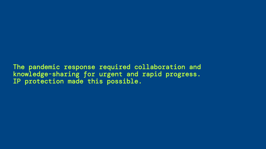The pandemic response required collaboration and knowledge-sharing for urgent and rapid progress. IP protection made this possible.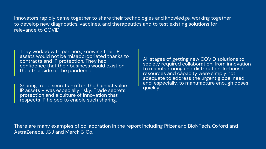Innovators rapidly came together to share their technologies and knowledge, working together to develop new diagnostics, vaccines, and therapeutics and to test existing solutions for relevance to COVID.

They worked with partners, knowing their IP assets would not be misappropriated thanks to contracts and IP protection. They had confidence that their business would exist on the other side of the pandemic.

Sharing trade secrets - often the highest value IP assets – was especially risky. Trade secrets protection and a culture of innovation that respects IP helped to enable such sharing.

All stages of getting new COVID solutions to society required collaboration: from innovation to manufacturing and distribution. In-house resources and capacity were simply not adequate to address the urgent global need and, especially, to manufacture enough doses quickly.

There are many examples of collaboration in the report including Pfizer and BioNTech, Oxford and AstraZeneca, J&J and Merck & Co.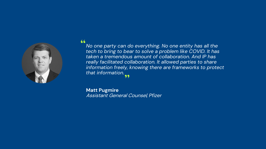

## 66

*No one party can do everything. No one entity has all the tech to bring to bear to solve a problem like COVID. It has taken a tremendous amount of collaboration. And IP has really facilitated collaboration. It allowed parties to share information freely, knowing there are frameworks to protect that information.*  **"** 

**Matt Pugmire** Assistant General Counsel*, Pfizer*